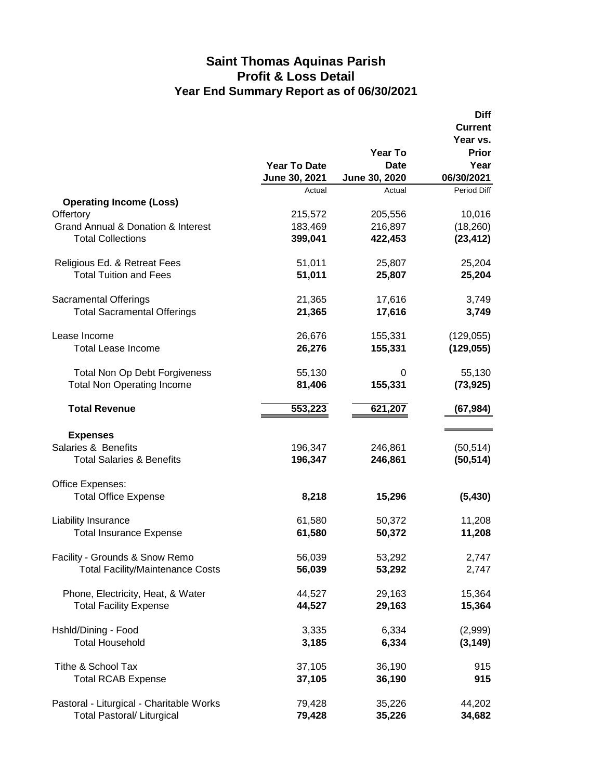## **Saint Thomas Aquinas Parish Profit & Loss Detail Year End Summary Report as of 06/30/2021**

|                                                   |                     |               | <b>Diff</b>    |
|---------------------------------------------------|---------------------|---------------|----------------|
|                                                   |                     |               | <b>Current</b> |
|                                                   |                     |               | Year vs.       |
|                                                   |                     | Year To       | <b>Prior</b>   |
|                                                   | <b>Year To Date</b> | Date          | Year           |
|                                                   | June 30, 2021       | June 30, 2020 | 06/30/2021     |
|                                                   | Actual              | Actual        | Period Diff    |
| <b>Operating Income (Loss)</b>                    |                     |               |                |
| Offertory                                         | 215,572             | 205,556       | 10,016         |
| <b>Grand Annual &amp; Donation &amp; Interest</b> | 183,469             | 216,897       | (18, 260)      |
| <b>Total Collections</b>                          | 399,041             | 422,453       | (23, 412)      |
| Religious Ed. & Retreat Fees                      | 51,011              | 25,807        | 25,204         |
| <b>Total Tuition and Fees</b>                     | 51,011              | 25,807        | 25,204         |
| <b>Sacramental Offerings</b>                      | 21,365              | 17,616        | 3,749          |
| <b>Total Sacramental Offerings</b>                | 21,365              | 17,616        | 3,749          |
| Lease Income                                      | 26,676              | 155,331       | (129, 055)     |
| <b>Total Lease Income</b>                         | 26,276              | 155,331       | (129, 055)     |
|                                                   |                     |               |                |
| <b>Total Non Op Debt Forgiveness</b>              | 55,130              | 0             | 55,130         |
| <b>Total Non Operating Income</b>                 | 81,406              | 155,331       | (73, 925)      |
| <b>Total Revenue</b>                              | 553,223             | 621,207       | (67, 984)      |
|                                                   |                     |               |                |
| <b>Expenses</b>                                   |                     |               |                |
| Salaries & Benefits                               | 196,347             | 246,861       | (50, 514)      |
| <b>Total Salaries &amp; Benefits</b>              | 196,347             | 246,861       | (50, 514)      |
| Office Expenses:                                  |                     |               |                |
| <b>Total Office Expense</b>                       | 8,218               | 15,296        | (5, 430)       |
| Liability Insurance                               | 61,580              | 50,372        | 11,208         |
| <b>Total Insurance Expense</b>                    | 61,580              | 50,372        | 11,208         |
| Facility - Grounds & Snow Remo                    | 56,039              | 53,292        | 2,747          |
| <b>Total Facility/Maintenance Costs</b>           | 56,039              | 53,292        | 2,747          |
|                                                   |                     |               |                |
| Phone, Electricity, Heat, & Water                 | 44,527              | 29,163        | 15,364         |
| <b>Total Facility Expense</b>                     | 44,527              | 29,163        | 15,364         |
| Hshld/Dining - Food                               | 3,335               | 6,334         | (2,999)        |
| <b>Total Household</b>                            | 3,185               | 6,334         | (3, 149)       |
|                                                   |                     |               |                |
| Tithe & School Tax                                | 37,105              | 36,190        | 915            |
| <b>Total RCAB Expense</b>                         | 37,105              | 36,190        | 915            |
| Pastoral - Liturgical - Charitable Works          | 79,428              | 35,226        | 44,202         |
| <b>Total Pastoral/ Liturgical</b>                 | 79,428              | 35,226        | 34,682         |